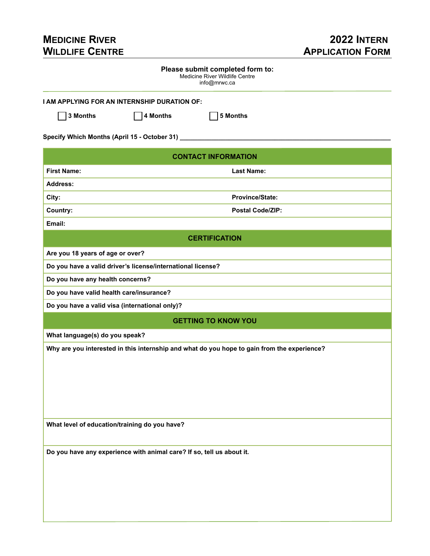## **MEDICINE RIVER 2022 INTERN WILDLIFE CENTRE APPLICATION FORM**

| Please submit completed form to:<br>Medicine River Wildlife Centre<br>info@mrwc.ca          |  |  |  |  |
|---------------------------------------------------------------------------------------------|--|--|--|--|
| I AM APPLYING FOR AN INTERNSHIP DURATION OF:                                                |  |  |  |  |
| 3 Months<br>4 Months<br>5 Months                                                            |  |  |  |  |
| Specify Which Months (April 15 - October 31) _______                                        |  |  |  |  |
| <b>CONTACT INFORMATION</b>                                                                  |  |  |  |  |
| <b>First Name:</b><br><b>Last Name:</b>                                                     |  |  |  |  |
| <b>Address:</b>                                                                             |  |  |  |  |
| <b>Province/State:</b><br>City:                                                             |  |  |  |  |
| Country:<br><b>Postal Code/ZIP:</b>                                                         |  |  |  |  |
| Email:                                                                                      |  |  |  |  |
| <b>CERTIFICATION</b>                                                                        |  |  |  |  |
| Are you 18 years of age or over?                                                            |  |  |  |  |
| Do you have a valid driver's license/international license?                                 |  |  |  |  |
| Do you have any health concerns?                                                            |  |  |  |  |
| Do you have valid health care/insurance?                                                    |  |  |  |  |
| Do you have a valid visa (international only)?                                              |  |  |  |  |
| <b>GETTING TO KNOW YOU</b>                                                                  |  |  |  |  |
| What language(s) do you speak?                                                              |  |  |  |  |
| Why are you interested in this internship and what do you hope to gain from the experience? |  |  |  |  |
| What level of education/training do you have?                                               |  |  |  |  |
| Do you have any experience with animal care? If so, tell us about it.                       |  |  |  |  |